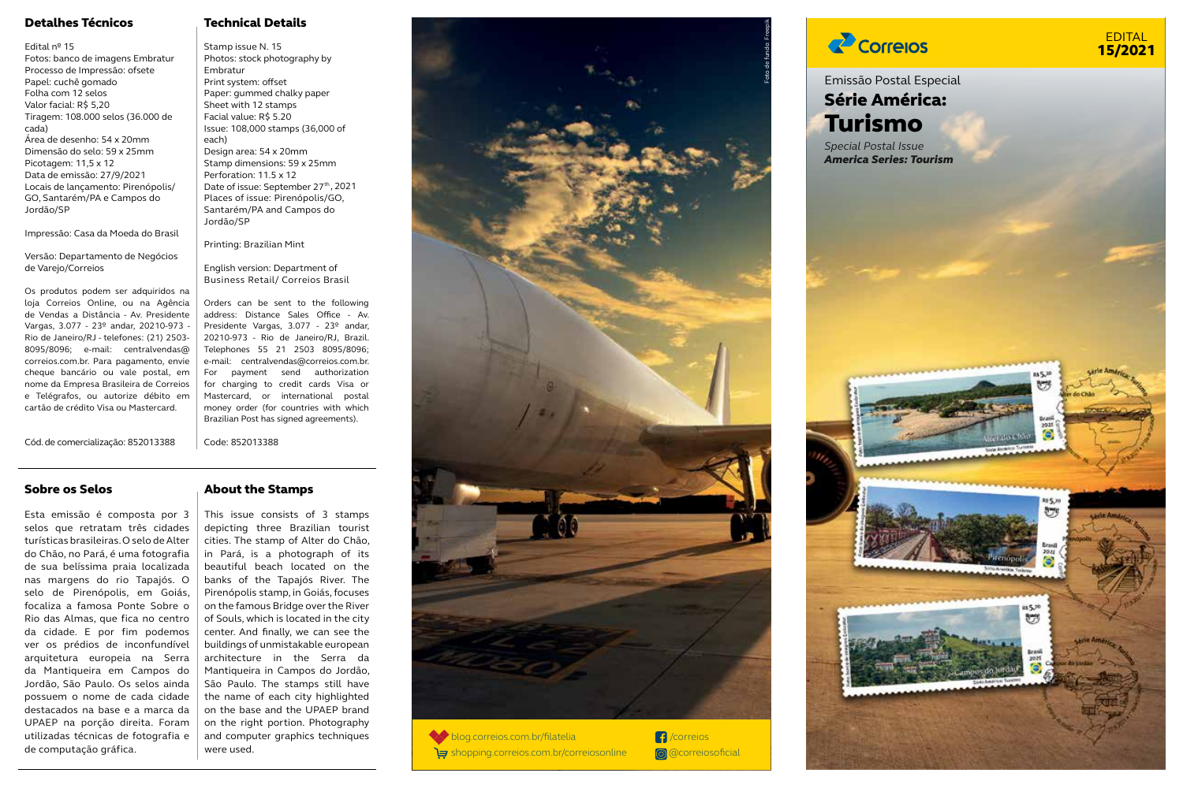# Detalhes Técnicos

#### Edital nº 15

Fotos: banco de imagens Embratur Processo de Impressão: ofsete Papel: cuchê gomado Folha com 12 selos Valor facial: R\$ 5,20 Tiragem: 108.000 selos (36.000 de cada) Área de desenho: 54 x 20mm Dimensão do selo: 59 x 25mm Picotagem: 11,5 x 12 Data de emissão: 27/9/2021 Locais de lançamento: Pirenópolis/ GO, Santarém/PA e Campos do Jordão/SP

Impressão: Casa da Moeda do Brasil

Versão: Departamento de Negócios de Varejo/Correjos Os produtos podem ser adquiridos na

loja Correios Online, ou na Agência de Vendas a Distância - Av. Presidente Vargas, 3.077 - 23º andar, 20210-973 - Rio de Janeiro/RJ - telefones: (21) 2503- 8095/8096; e-mail: centralvendas@ correios.com.br. Para pagamento, envie cheque bancário ou vale postal, em nome da Empresa Brasileira de Correios e Telégrafos, ou autorize débito em cartão de crédito Visa ou Mastercard.

for charging to credit cards Visa or Mastercard, or international postal money order (for countries with which Brazilian Post has signed agreements).

Code: 852013388

Technical Details

Photos: stock photography by

Issue: 108,000 stamps (36,000 of

Date of issue: September 27<sup>th</sup>, 2021 Places of issue: Pirenópolis/GO, Santarém/PA and Campos do

Design area: 54 x 20mm Stamp dimensions: 59 x 25mm Perforation: 11.5 x 12

Printing: Brazilian Mint

English version: Department of Business Retail/ Correios Brasil Orders can be sent to the following address: Distance Sales Office - Av. Presidente Vargas, 3.077 - 23º andar, 20210-973 - Rio de Janeiro/RJ, Brazil. Telephones 55 21 2503 8095/8096; e-mail: centralvendas@correios.com.br. For payment send authorization

Stamp issue N. 15

Embratur Print system: offset Paper: gummed chalky paper Sheet with 12 stamps Facial value: R\$ 5.20

each)

Jordão/SP

Cód. de comercialização: 852013388

# Sobre os Selos

Esta emissão é composta por 3 selos que retratam três cidades turísticas brasileiras. O selo de Alter do Chão, no Pará, é uma fotografia de sua belíssima praia localizada nas margens do rio Tapajós. O selo de Pirenópolis, em Goiás, focaliza a famosa Ponte Sobre o Rio das Almas, que fica no centro da cidade. E por fim podemos ver os prédios de inconfundível arquitetura europeia na Serra da Mantiqueira em Campos do Jordão, São Paulo. Os selos ainda possuem o nome de cada cidade destacados na base e a marca da UPAEP na porção direita. Foram utilizadas técnicas de fotografia e de computação gráfica.

# About the Stamps

This issue consists of 3 stamps depicting three Brazilian tourist cities. The stamp of Alter do Chão, in Pará, is a photograph of its beautiful beach located on the banks of the Tapajós River. The Pirenópolis stamp, in Goiás, focuses on the famous Bridge over the River of Souls, which is located in the city center. And finally, we can see the buildings of unmistakable european architecture in the Serra da Mantiqueira in Campos do Jordão, São Paulo. The stamps still have the name of each city highlighted on the base and the UPAEP brand on the right portion. Photography and computer graphics techniques were used.



# **Z** Correlos

# EDITAL 15/2021

# Emissão Postal Especial Série América: Turismo

*Special Postal Issue America Series: Tourism*